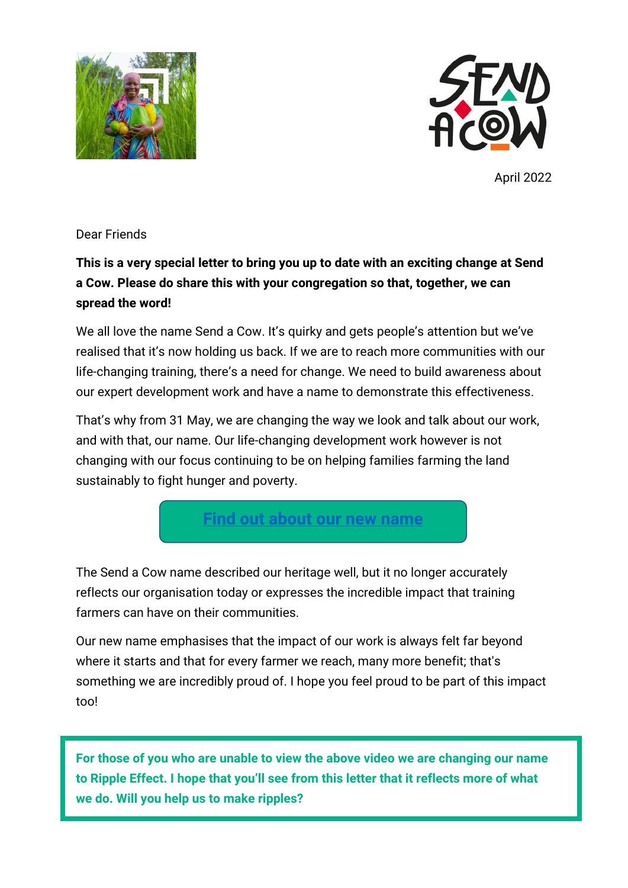



April 2022

### Dear Friends

### **This is a very special letter to bring you up to date with an exciting change at Send a Cow. Please do share this with your congregation so that, together, we can spread the word!**

We all love the name Send a Cow. It's quirky and gets people's attention but we've realised that it's now holding us back. If we are to reach more communities with our life-changing training, there's a need for change. We need to build awareness about our expert development work and have a name to demonstrate this effectiveness.

That's why from 31 May, we are changing the way we look and talk about our work, and with that, our name. Our life-changing development work however is not changing with our focus continuing to be on helping families farming the land sustainably to fight hunger and poverty.

# **Find out [about our new name](https://www.youtube.com/watch?v=1tZIr-gUuLA)**

The Send a Cow name described our heritage well, but it no longer accurately reflects our organisation today or expresses the incredible impact that training farmers can have on their communities.

Our new name emphasises that the impact of our work is always felt far beyond where it starts and that for every farmer we reach, many more benefit; that's something we are incredibly proud of. I hope you feel proud to be part of this impact too!

**For those of you who are unable to view the above video we are changing our name to Ripple Effect. I hope that you'll see from this letter that it reflects more of what we do. Will you help us to make ripples?**